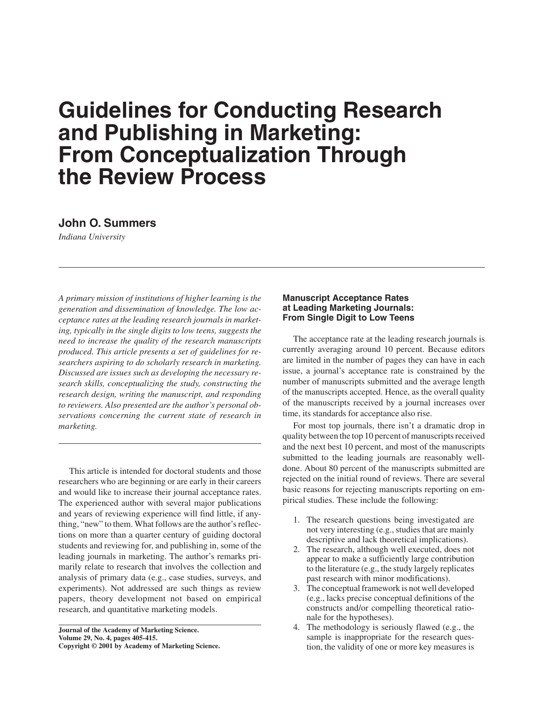# **Guidelines for Conducting Research and Publishing in Marketing: From Conceptualization Through the Review Process**

**John O. Summers**

*Indiana University*

*A primary mission of institutions of higher learning is the generation and dissemination of knowledge. The low acceptance rates at the leading research journals in marketing, typically in the single digits to low teens, suggests the need to increase the quality of the research manuscripts produced. This article presents a set of guidelines for researchers aspiring to do scholarly research in marketing. Discussed are issues such as developing the necessary research skills, conceptualizing the study, constructing the research design, writing the manuscript, and responding to reviewers. Also presented are the author's personal observations concerning the current state of research in marketing.*

This article is intended for doctoral students and those researchers who are beginning or are early in their careers and would like to increase their journal acceptance rates. The experienced author with several major publications and years of reviewing experience will find little, if anything, "new" to them. What follows are the author's reflections on more than a quarter century of guiding doctoral students and reviewing for, and publishing in, some of the leading journals in marketing. The author's remarks primarily relate to research that involves the collection and analysis of primary data (e.g., case studies, surveys, and experiments). Not addressed are such things as review papers, theory development not based on empirical research, and quantitative marketing models.

**Journal of the Academy of Marketing Science. Volume 29, No. 4, pages 405-415. Copyright © 2001 by Academy of Marketing Science.**

## **Manuscript Acceptance Rates at Leading Marketing Journals: From Single Digit to Low Teens**

The acceptance rate at the leading research journals is currently averaging around 10 percent. Because editors are limited in the number of pages they can have in each issue, a journal's acceptance rate is constrained by the number of manuscripts submitted and the average length of the manuscripts accepted. Hence, as the overall quality of the manuscripts received by a journal increases over time, its standards for acceptance also rise.

For most top journals, there isn't a dramatic drop in quality between the top 10 percent of manuscripts received and the next best 10 percent, and most of the manuscripts submitted to the leading journals are reasonably welldone. About 80 percent of the manuscripts submitted are rejected on the initial round of reviews. There are several basic reasons for rejecting manuscripts reporting on empirical studies. These include the following:

- 1. The research questions being investigated are not very interesting (e.g., studies that are mainly descriptive and lack theoretical implications).
- 2. The research, although well executed, does not appear to make a sufficiently large contribution to the literature (e.g., the study largely replicates past research with minor modifications).
- 3. The conceptual framework is not well developed (e.g., lacks precise conceptual definitions of the constructs and/or compelling theoretical rationale for the hypotheses).
- 4. The methodology is seriously flawed (e.g., the sample is inappropriate for the research question, the validity of one or more key measures is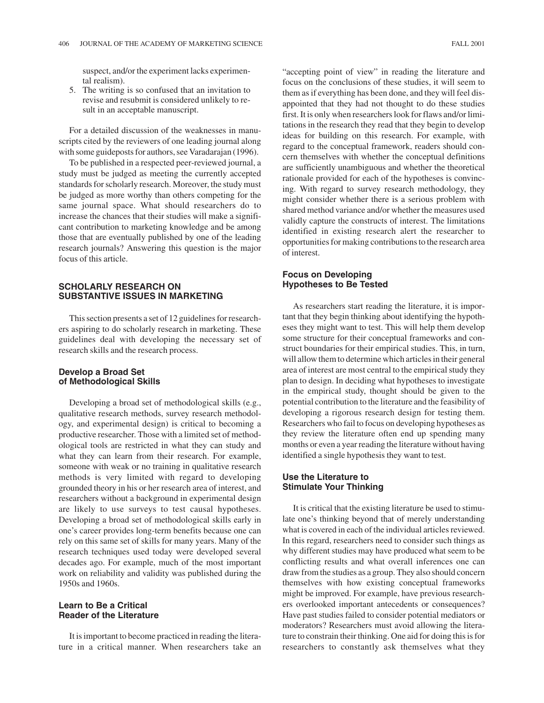suspect, and/or the experiment lacks experimental realism).

5. The writing is so confused that an invitation to revise and resubmit is considered unlikely to result in an acceptable manuscript.

For a detailed discussion of the weaknesses in manuscripts cited by the reviewers of one leading journal along with some guideposts for authors, see Varadarajan (1996).

To be published in a respected peer-reviewed journal, a study must be judged as meeting the currently accepted standards for scholarly research. Moreover, the study must be judged as more worthy than others competing for the same journal space. What should researchers do to increase the chances that their studies will make a significant contribution to marketing knowledge and be among those that are eventually published by one of the leading research journals? Answering this question is the major focus of this article.

## **SCHOLARLY RESEARCH ON SUBSTANTIVE ISSUES IN MARKETING**

This section presents a set of 12 guidelines for researchers aspiring to do scholarly research in marketing. These guidelines deal with developing the necessary set of research skills and the research process.

## **Develop a Broad Set of Methodological Skills**

Developing a broad set of methodological skills (e.g., qualitative research methods, survey research methodology, and experimental design) is critical to becoming a productive researcher. Those with a limited set of methodological tools are restricted in what they can study and what they can learn from their research. For example, someone with weak or no training in qualitative research methods is very limited with regard to developing grounded theory in his or her research area of interest, and researchers without a background in experimental design are likely to use surveys to test causal hypotheses. Developing a broad set of methodological skills early in one's career provides long-term benefits because one can rely on this same set of skills for many years. Many of the research techniques used today were developed several decades ago. For example, much of the most important work on reliability and validity was published during the 1950s and 1960s.

# **Learn to Be a Critical Reader of the Literature**

It is important to become practiced in reading the literature in a critical manner. When researchers take an

"accepting point of view" in reading the literature and focus on the conclusions of these studies, it will seem to them as if everything has been done, and they will feel disappointed that they had not thought to do these studies first. It is only when researchers look for flaws and/or limitations in the research they read that they begin to develop ideas for building on this research. For example, with regard to the conceptual framework, readers should concern themselves with whether the conceptual definitions are sufficiently unambiguous and whether the theoretical rationale provided for each of the hypotheses is convincing. With regard to survey research methodology, they might consider whether there is a serious problem with shared method variance and/or whether the measures used validly capture the constructs of interest. The limitations identified in existing research alert the researcher to opportunities for making contributions to the research area of interest.

#### **Focus on Developing Hypotheses to Be Tested**

As researchers start reading the literature, it is important that they begin thinking about identifying the hypotheses they might want to test. This will help them develop some structure for their conceptual frameworks and construct boundaries for their empirical studies. This, in turn, will allow them to determine which articles in their general area of interest are most central to the empirical study they plan to design. In deciding what hypotheses to investigate in the empirical study, thought should be given to the potential contribution to the literature and the feasibility of developing a rigorous research design for testing them. Researchers who fail to focus on developing hypotheses as they review the literature often end up spending many months or even a year reading the literature without having identified a single hypothesis they want to test.

## **Use the Literature to Stimulate Your Thinking**

It is critical that the existing literature be used to stimulate one's thinking beyond that of merely understanding what is covered in each of the individual articles reviewed. In this regard, researchers need to consider such things as why different studies may have produced what seem to be conflicting results and what overall inferences one can draw from the studies as a group. They also should concern themselves with how existing conceptual frameworks might be improved. For example, have previous researchers overlooked important antecedents or consequences? Have past studies failed to consider potential mediators or moderators? Researchers must avoid allowing the literature to constrain their thinking. One aid for doing this is for researchers to constantly ask themselves what they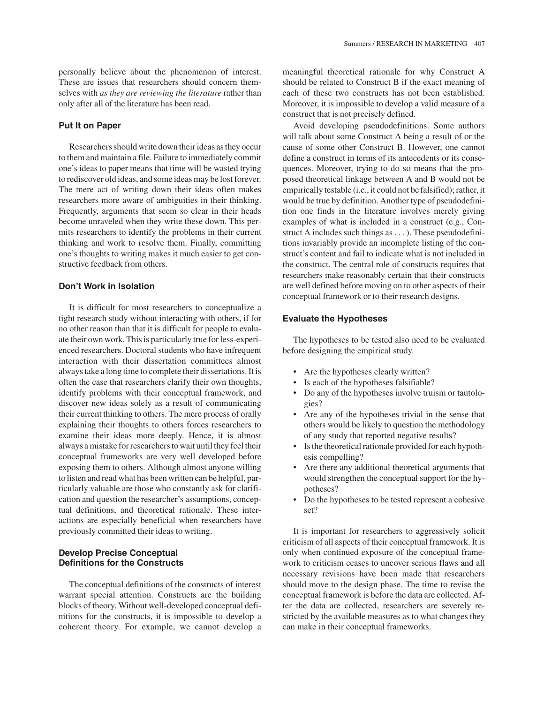personally believe about the phenomenon of interest. These are issues that researchers should concern themselves with *as they are reviewing the literature* rather than only after all of the literature has been read.

#### **Put It on Paper**

Researchers should write down their ideas as they occur to them and maintain a file. Failure to immediately commit one's ideas to paper means that time will be wasted trying to rediscover old ideas, and some ideas may be lost forever. The mere act of writing down their ideas often makes researchers more aware of ambiguities in their thinking. Frequently, arguments that seem so clear in their heads become unraveled when they write these down. This permits researchers to identify the problems in their current thinking and work to resolve them. Finally, committing one's thoughts to writing makes it much easier to get constructive feedback from others.

#### **Don't Work in Isolation**

It is difficult for most researchers to conceptualize a tight research study without interacting with others, if for no other reason than that it is difficult for people to evaluate their own work. This is particularly true for less-experienced researchers. Doctoral students who have infrequent interaction with their dissertation committees almost always take a long time to complete their dissertations. It is often the case that researchers clarify their own thoughts, identify problems with their conceptual framework, and discover new ideas solely as a result of communicating their current thinking to others. The mere process of orally explaining their thoughts to others forces researchers to examine their ideas more deeply. Hence, it is almost always a mistake for researchers to wait until they feel their conceptual frameworks are very well developed before exposing them to others. Although almost anyone willing to listen and read what has been written can be helpful, particularly valuable are those who constantly ask for clarification and question the researcher's assumptions, conceptual definitions, and theoretical rationale. These interactions are especially beneficial when researchers have previously committed their ideas to writing.

## **Develop Precise Conceptual Definitions for the Constructs**

The conceptual definitions of the constructs of interest warrant special attention. Constructs are the building blocks of theory. Without well-developed conceptual definitions for the constructs, it is impossible to develop a coherent theory. For example, we cannot develop a meaningful theoretical rationale for why Construct A should be related to Construct B if the exact meaning of each of these two constructs has not been established. Moreover, it is impossible to develop a valid measure of a construct that is not precisely defined.

Avoid developing pseudodefinitions. Some authors will talk about some Construct A being a result of or the cause of some other Construct B. However, one cannot define a construct in terms of its antecedents or its consequences. Moreover, trying to do so means that the proposed theoretical linkage between A and B would not be empirically testable (i.e., it could not be falsified); rather, it would be true by definition. Another type of pseudodefinition one finds in the literature involves merely giving examples of what is included in a construct (e.g., Construct A includes such things as . . . ). These pseudodefinitions invariably provide an incomplete listing of the construct's content and fail to indicate what is not included in the construct. The central role of constructs requires that researchers make reasonably certain that their constructs are well defined before moving on to other aspects of their conceptual framework or to their research designs.

#### **Evaluate the Hypotheses**

The hypotheses to be tested also need to be evaluated before designing the empirical study.

- Are the hypotheses clearly written?
- Is each of the hypotheses falsifiable?
- Do any of the hypotheses involve truism or tautologies?
- Are any of the hypotheses trivial in the sense that others would be likely to question the methodology of any study that reported negative results?
- Is the theoretical rationale provided for each hypothesis compelling?
- Are there any additional theoretical arguments that would strengthen the conceptual support for the hypotheses?
- Do the hypotheses to be tested represent a cohesive set?

It is important for researchers to aggressively solicit criticism of all aspects of their conceptual framework. It is only when continued exposure of the conceptual framework to criticism ceases to uncover serious flaws and all necessary revisions have been made that researchers should move to the design phase. The time to revise the conceptual framework is before the data are collected. After the data are collected, researchers are severely restricted by the available measures as to what changes they can make in their conceptual frameworks.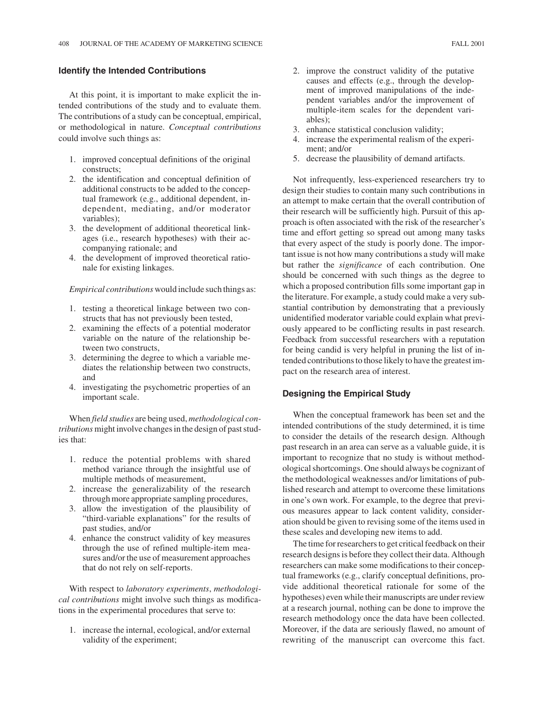#### **Identify the Intended Contributions**

At this point, it is important to make explicit the intended contributions of the study and to evaluate them. The contributions of a study can be conceptual, empirical, or methodological in nature. *Conceptual contributions* could involve such things as:

- 1. improved conceptual definitions of the original constructs;
- 2. the identification and conceptual definition of additional constructs to be added to the conceptual framework (e.g., additional dependent, independent, mediating, and/or moderator variables);
- 3. the development of additional theoretical linkages (i.e., research hypotheses) with their accompanying rationale; and
- 4. the development of improved theoretical rationale for existing linkages.

*Empirical contributions* would include such things as:

- 1. testing a theoretical linkage between two constructs that has not previously been tested,
- 2. examining the effects of a potential moderator variable on the nature of the relationship between two constructs,
- 3. determining the degree to which a variable mediates the relationship between two constructs, and
- 4. investigating the psychometric properties of an important scale.

When *field studies* are being used, *methodological contributions*might involve changes in the design of past studies that:

- 1. reduce the potential problems with shared method variance through the insightful use of multiple methods of measurement,
- 2. increase the generalizability of the research through more appropriate sampling procedures,
- 3. allow the investigation of the plausibility of "third-variable explanations" for the results of past studies, and/or
- 4. enhance the construct validity of key measures through the use of refined multiple-item measures and/or the use of measurement approaches that do not rely on self-reports.

With respect to *laboratory experiments*, *methodological contributions* might involve such things as modifications in the experimental procedures that serve to:

1. increase the internal, ecological, and/or external validity of the experiment;

- 2. improve the construct validity of the putative causes and effects (e.g., through the development of improved manipulations of the independent variables and/or the improvement of multiple-item scales for the dependent variables);
- 3. enhance statistical conclusion validity;
- 4. increase the experimental realism of the experiment; and/or
- 5. decrease the plausibility of demand artifacts.

Not infrequently, less-experienced researchers try to design their studies to contain many such contributions in an attempt to make certain that the overall contribution of their research will be sufficiently high. Pursuit of this approach is often associated with the risk of the researcher's time and effort getting so spread out among many tasks that every aspect of the study is poorly done. The important issue is not how many contributions a study will make but rather the *significance* of each contribution. One should be concerned with such things as the degree to which a proposed contribution fills some important gap in the literature. For example, a study could make a very substantial contribution by demonstrating that a previously unidentified moderator variable could explain what previously appeared to be conflicting results in past research. Feedback from successful researchers with a reputation for being candid is very helpful in pruning the list of intended contributions to those likely to have the greatest impact on the research area of interest.

#### **Designing the Empirical Study**

When the conceptual framework has been set and the intended contributions of the study determined, it is time to consider the details of the research design. Although past research in an area can serve as a valuable guide, it is important to recognize that no study is without methodological shortcomings. One should always be cognizant of the methodological weaknesses and/or limitations of published research and attempt to overcome these limitations in one's own work. For example, to the degree that previous measures appear to lack content validity, consideration should be given to revising some of the items used in these scales and developing new items to add.

The time for researchers to get critical feedback on their research designs is before they collect their data. Although researchers can make some modifications to their conceptual frameworks (e.g., clarify conceptual definitions, provide additional theoretical rationale for some of the hypotheses) even while their manuscripts are under review at a research journal, nothing can be done to improve the research methodology once the data have been collected. Moreover, if the data are seriously flawed, no amount of rewriting of the manuscript can overcome this fact.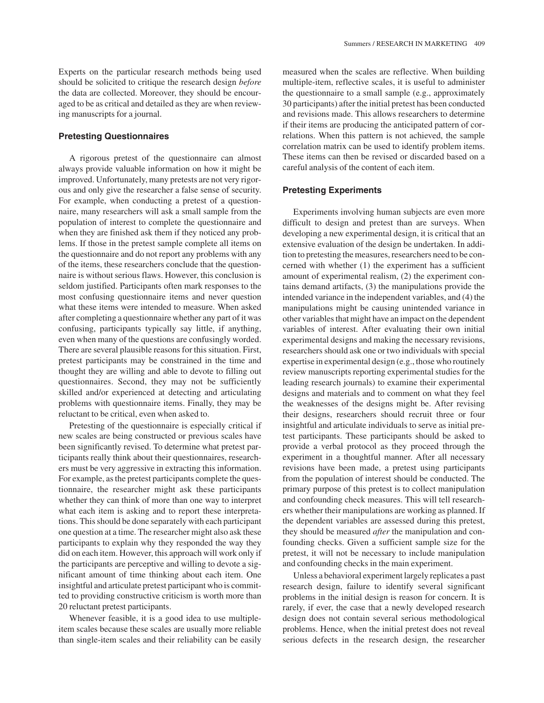Experts on the particular research methods being used should be solicited to critique the research design *before* the data are collected. Moreover, they should be encouraged to be as critical and detailed as they are when reviewing manuscripts for a journal.

## **Pretesting Questionnaires**

A rigorous pretest of the questionnaire can almost always provide valuable information on how it might be improved. Unfortunately, many pretests are not very rigorous and only give the researcher a false sense of security. For example, when conducting a pretest of a questionnaire, many researchers will ask a small sample from the population of interest to complete the questionnaire and when they are finished ask them if they noticed any problems. If those in the pretest sample complete all items on the questionnaire and do not report any problems with any of the items, these researchers conclude that the questionnaire is without serious flaws. However, this conclusion is seldom justified. Participants often mark responses to the most confusing questionnaire items and never question what these items were intended to measure. When asked after completing a questionnaire whether any part of it was confusing, participants typically say little, if anything, even when many of the questions are confusingly worded. There are several plausible reasons for this situation. First, pretest participants may be constrained in the time and thought they are willing and able to devote to filling out questionnaires. Second, they may not be sufficiently skilled and/or experienced at detecting and articulating problems with questionnaire items. Finally, they may be reluctant to be critical, even when asked to.

Pretesting of the questionnaire is especially critical if new scales are being constructed or previous scales have been significantly revised. To determine what pretest participants really think about their questionnaires, researchers must be very aggressive in extracting this information. For example, as the pretest participants complete the questionnaire, the researcher might ask these participants whether they can think of more than one way to interpret what each item is asking and to report these interpretations. This should be done separately with each participant one question at a time. The researcher might also ask these participants to explain why they responded the way they did on each item. However, this approach will work only if the participants are perceptive and willing to devote a significant amount of time thinking about each item. One insightful and articulate pretest participant who is committed to providing constructive criticism is worth more than 20 reluctant pretest participants.

Whenever feasible, it is a good idea to use multipleitem scales because these scales are usually more reliable than single-item scales and their reliability can be easily measured when the scales are reflective. When building multiple-item, reflective scales, it is useful to administer the questionnaire to a small sample (e.g., approximately 30 participants) after the initial pretest has been conducted and revisions made. This allows researchers to determine if their items are producing the anticipated pattern of correlations. When this pattern is not achieved, the sample correlation matrix can be used to identify problem items. These items can then be revised or discarded based on a careful analysis of the content of each item.

## **Pretesting Experiments**

Experiments involving human subjects are even more difficult to design and pretest than are surveys. When developing a new experimental design, it is critical that an extensive evaluation of the design be undertaken. In addition to pretesting the measures, researchers need to be concerned with whether (1) the experiment has a sufficient amount of experimental realism, (2) the experiment contains demand artifacts, (3) the manipulations provide the intended variance in the independent variables, and (4) the manipulations might be causing unintended variance in other variables that might have an impact on the dependent variables of interest. After evaluating their own initial experimental designs and making the necessary revisions, researchers should ask one or two individuals with special expertise in experimental design (e.g., those who routinely review manuscripts reporting experimental studies for the leading research journals) to examine their experimental designs and materials and to comment on what they feel the weaknesses of the designs might be. After revising their designs, researchers should recruit three or four insightful and articulate individuals to serve as initial pretest participants. These participants should be asked to provide a verbal protocol as they proceed through the experiment in a thoughtful manner. After all necessary revisions have been made, a pretest using participants from the population of interest should be conducted. The primary purpose of this pretest is to collect manipulation and confounding check measures. This will tell researchers whether their manipulations are working as planned. If the dependent variables are assessed during this pretest, they should be measured *after* the manipulation and confounding checks. Given a sufficient sample size for the pretest, it will not be necessary to include manipulation and confounding checks in the main experiment.

Unless a behavioral experiment largely replicates a past research design, failure to identify several significant problems in the initial design is reason for concern. It is rarely, if ever, the case that a newly developed research design does not contain several serious methodological problems. Hence, when the initial pretest does not reveal serious defects in the research design, the researcher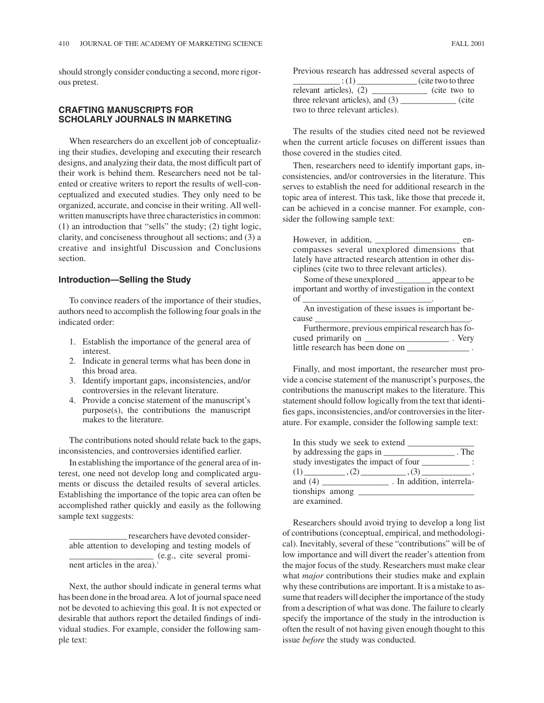should strongly consider conducting a second, more rigorous pretest.

## **CRAFTING MANUSCRIPTS FOR SCHOLARLY JOURNALS IN MARKETING**

When researchers do an excellent job of conceptualizing their studies, developing and executing their research designs, and analyzing their data, the most difficult part of their work is behind them. Researchers need not be talented or creative writers to report the results of well-conceptualized and executed studies. They only need to be organized, accurate, and concise in their writing. All wellwritten manuscripts have three characteristics in common: (1) an introduction that "sells" the study; (2) tight logic, clarity, and conciseness throughout all sections; and (3) a creative and insightful Discussion and Conclusions section.

#### **Introduction—Selling the Study**

To convince readers of the importance of their studies, authors need to accomplish the following four goals in the indicated order:

- 1. Establish the importance of the general area of interest.
- 2. Indicate in general terms what has been done in this broad area.
- 3. Identify important gaps, inconsistencies, and/or controversies in the relevant literature.
- 4. Provide a concise statement of the manuscript's purpose(s), the contributions the manuscript makes to the literature.

The contributions noted should relate back to the gaps, inconsistencies, and controversies identified earlier.

In establishing the importance of the general area of interest, one need not develop long and complicated arguments or discuss the detailed results of several articles. Establishing the importance of the topic area can often be accomplished rather quickly and easily as the following sample text suggests:

\_\_\_\_\_\_\_\_\_\_\_\_\_ researchers have devoted considerable attention to developing and testing models of \_\_\_\_\_\_\_\_\_\_\_\_\_\_\_\_\_\_\_ (e.g., cite several prominent articles in the area).<sup>1</sup>

Next, the author should indicate in general terms what has been done in the broad area. A lot of journal space need not be devoted to achieving this goal. It is not expected or desirable that authors report the detailed findings of individual studies. For example, consider the following sample text:

| Previous research has addressed several aspects of |                    |
|----------------------------------------------------|--------------------|
| $\mathcal{L}(1)$                                   | (cite two to three |
|                                                    | (cite two to       |
| three relevant articles), and (3)                  | <i>cite</i>        |
| two to three relevant articles).                   |                    |

The results of the studies cited need not be reviewed when the current article focuses on different issues than those covered in the studies cited.

Then, researchers need to identify important gaps, inconsistencies, and/or controversies in the literature. This serves to establish the need for additional research in the topic area of interest. This task, like those that precede it, can be achieved in a concise manner. For example, consider the following sample text:

| en-                                                    |  |
|--------------------------------------------------------|--|
| compasses several unexplored dimensions that           |  |
| lately have attracted research attention in other dis- |  |
| ciplines (cite two to three relevant articles).        |  |
| Some of these unexplored _________ appear to be        |  |
| important and worthy of investigation in the context   |  |
| of                                                     |  |
| An investigation of these issues is important be-      |  |
| cause                                                  |  |
| Furthermore, previous empirical research has fo-       |  |
| . Very                                                 |  |
| little research has been done on                       |  |

Finally, and most important, the researcher must provide a concise statement of the manuscript's purposes, the contributions the manuscript makes to the literature. This statement should follow logically from the text that identifies gaps, inconsistencies, and/or controversies in the literature. For example, consider the following sample text:

| In this study we seek to extend _____ |                                                       |
|---------------------------------------|-------------------------------------------------------|
| by addressing the gaps in             | . The                                                 |
|                                       | study investigates the impact of four ______________: |
|                                       |                                                       |
|                                       | . In addition, interrela-                             |
| tionships among                       |                                                       |
| are examined.                         |                                                       |

Researchers should avoid trying to develop a long list of contributions (conceptual, empirical, and methodological). Inevitably, several of these "contributions" will be of low importance and will divert the reader's attention from the major focus of the study. Researchers must make clear what *major* contributions their studies make and explain why these contributions are important. It is a mistake to assume that readers will decipher the importance of the study from a description of what was done. The failure to clearly specify the importance of the study in the introduction is often the result of not having given enough thought to this issue *before* the study was conducted.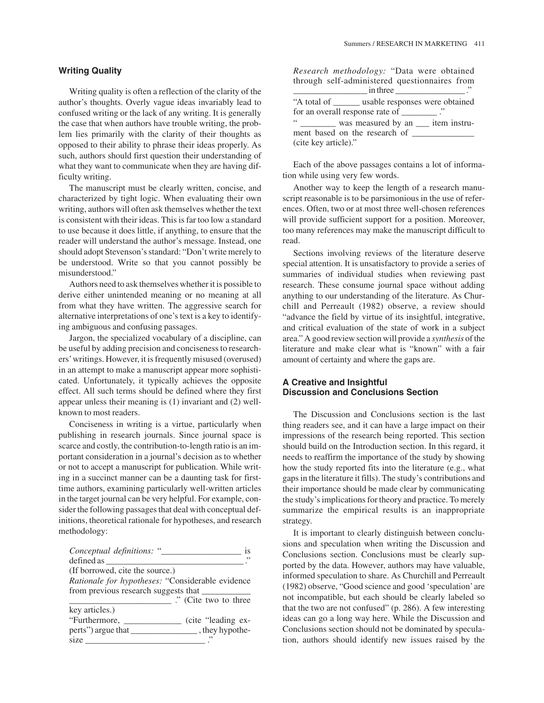## **Writing Quality**

Writing quality is often a reflection of the clarity of the author's thoughts. Overly vague ideas invariably lead to confused writing or the lack of any writing. It is generally the case that when authors have trouble writing, the problem lies primarily with the clarity of their thoughts as opposed to their ability to phrase their ideas properly. As such, authors should first question their understanding of what they want to communicate when they are having difficulty writing.

The manuscript must be clearly written, concise, and characterized by tight logic. When evaluating their own writing, authors will often ask themselves whether the text is consistent with their ideas. This is far too low a standard to use because it does little, if anything, to ensure that the reader will understand the author's message. Instead, one should adopt Stevenson's standard: "Don't write merely to be understood. Write so that you cannot possibly be misunderstood."

Authors need to ask themselves whether it is possible to derive either unintended meaning or no meaning at all from what they have written. The aggressive search for alternative interpretations of one's text is a key to identifying ambiguous and confusing passages.

Jargon, the specialized vocabulary of a discipline, can be useful by adding precision and conciseness to researchers'writings. However, it is frequently misused (overused) in an attempt to make a manuscript appear more sophisticated. Unfortunately, it typically achieves the opposite effect. All such terms should be defined where they first appear unless their meaning is (1) invariant and (2) wellknown to most readers.

Conciseness in writing is a virtue, particularly when publishing in research journals. Since journal space is scarce and costly, the contribution-to-length ratio is an important consideration in a journal's decision as to whether or not to accept a manuscript for publication. While writing in a succinct manner can be a daunting task for firsttime authors, examining particularly well-written articles in the target journal can be very helpful. For example, consider the following passages that deal with conceptual definitions, theoretical rationale for hypotheses, and research methodology:

| Conceptual definitions: "                                      |
|----------------------------------------------------------------|
| defined as                                                     |
| (If borrowed, cite the source.)                                |
| Rationale for hypotheses: "Considerable evidence               |
| from previous research suggests that                           |
| ." (Cite two to three                                          |
| key articles.)                                                 |
| "Furthermore,<br>(cite "leading ex-                            |
| $\overline{\phantom{a}}$ , they hypothe-<br>perts") argue that |
| size                                                           |

was measured by an <u>equal</u> item instrument based on the research of \_\_\_\_\_\_\_\_\_\_\_\_\_\_ (cite key article)."

Each of the above passages contains a lot of information while using very few words.

Another way to keep the length of a research manuscript reasonable is to be parsimonious in the use of references. Often, two or at most three well-chosen references will provide sufficient support for a position. Moreover, too many references may make the manuscript difficult to read.

Sections involving reviews of the literature deserve special attention. It is unsatisfactory to provide a series of summaries of individual studies when reviewing past research. These consume journal space without adding anything to our understanding of the literature. As Churchill and Perreault (1982) observe, a review should "advance the field by virtue of its insightful, integrative, and critical evaluation of the state of work in a subject area." A good review section will provide a *synthesis* of the literature and make clear what is "known" with a fair amount of certainty and where the gaps are.

## **A Creative and Insightful Discussion and Conclusions Section**

The Discussion and Conclusions section is the last thing readers see, and it can have a large impact on their impressions of the research being reported. This section should build on the Introduction section. In this regard, it needs to reaffirm the importance of the study by showing how the study reported fits into the literature (e.g., what gaps in the literature it fills). The study's contributions and their importance should be made clear by communicating the study's implications for theory and practice. To merely summarize the empirical results is an inappropriate strategy.

It is important to clearly distinguish between conclusions and speculation when writing the Discussion and Conclusions section. Conclusions must be clearly supported by the data. However, authors may have valuable, informed speculation to share. As Churchill and Perreault (1982) observe, "Good science and good 'speculation'are not incompatible, but each should be clearly labeled so that the two are not confused" (p. 286). A few interesting ideas can go a long way here. While the Discussion and Conclusions section should not be dominated by speculation, authors should identify new issues raised by the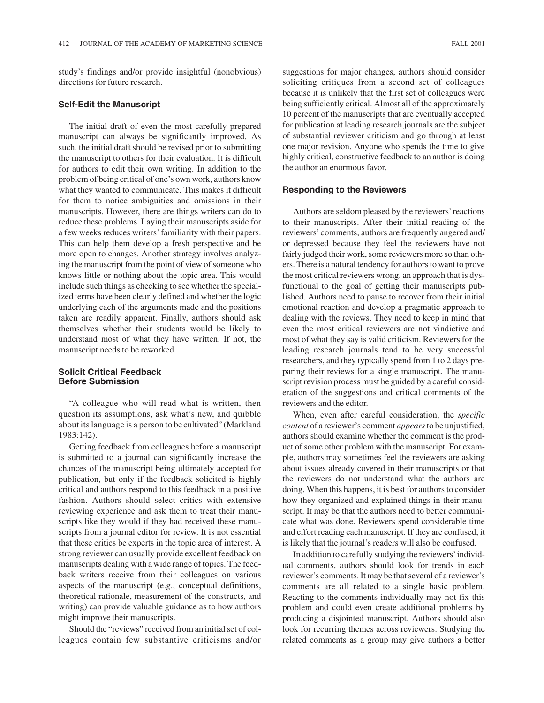study's findings and/or provide insightful (nonobvious) directions for future research.

#### **Self-Edit the Manuscript**

The initial draft of even the most carefully prepared manuscript can always be significantly improved. As such, the initial draft should be revised prior to submitting the manuscript to others for their evaluation. It is difficult for authors to edit their own writing. In addition to the problem of being critical of one's own work, authors know what they wanted to communicate. This makes it difficult for them to notice ambiguities and omissions in their manuscripts. However, there are things writers can do to reduce these problems. Laying their manuscripts aside for a few weeks reduces writers' familiarity with their papers. This can help them develop a fresh perspective and be more open to changes. Another strategy involves analyzing the manuscript from the point of view of someone who knows little or nothing about the topic area. This would include such things as checking to see whether the specialized terms have been clearly defined and whether the logic underlying each of the arguments made and the positions taken are readily apparent. Finally, authors should ask themselves whether their students would be likely to understand most of what they have written. If not, the manuscript needs to be reworked.

## **Solicit Critical Feedback Before Submission**

"A colleague who will read what is written, then question its assumptions, ask what's new, and quibble about its language is a person to be cultivated" (Markland 1983:142).

Getting feedback from colleagues before a manuscript is submitted to a journal can significantly increase the chances of the manuscript being ultimately accepted for publication, but only if the feedback solicited is highly critical and authors respond to this feedback in a positive fashion. Authors should select critics with extensive reviewing experience and ask them to treat their manuscripts like they would if they had received these manuscripts from a journal editor for review. It is not essential that these critics be experts in the topic area of interest. A strong reviewer can usually provide excellent feedback on manuscripts dealing with a wide range of topics. The feedback writers receive from their colleagues on various aspects of the manuscript (e.g., conceptual definitions, theoretical rationale, measurement of the constructs, and writing) can provide valuable guidance as to how authors might improve their manuscripts.

Should the "reviews" received from an initial set of colleagues contain few substantive criticisms and/or suggestions for major changes, authors should consider soliciting critiques from a second set of colleagues because it is unlikely that the first set of colleagues were being sufficiently critical. Almost all of the approximately 10 percent of the manuscripts that are eventually accepted for publication at leading research journals are the subject of substantial reviewer criticism and go through at least one major revision. Anyone who spends the time to give highly critical, constructive feedback to an author is doing the author an enormous favor.

## **Responding to the Reviewers**

Authors are seldom pleased by the reviewers'reactions to their manuscripts. After their initial reading of the reviewers'comments, authors are frequently angered and/ or depressed because they feel the reviewers have not fairly judged their work, some reviewers more so than others. There is a natural tendency for authors to want to prove the most critical reviewers wrong, an approach that is dysfunctional to the goal of getting their manuscripts published. Authors need to pause to recover from their initial emotional reaction and develop a pragmatic approach to dealing with the reviews. They need to keep in mind that even the most critical reviewers are not vindictive and most of what they say is valid criticism. Reviewers for the leading research journals tend to be very successful researchers, and they typically spend from 1 to 2 days preparing their reviews for a single manuscript. The manuscript revision process must be guided by a careful consideration of the suggestions and critical comments of the reviewers and the editor.

When, even after careful consideration, the *specific content* of a reviewer's comment *appears*to be unjustified, authors should examine whether the comment is the product of some other problem with the manuscript. For example, authors may sometimes feel the reviewers are asking about issues already covered in their manuscripts or that the reviewers do not understand what the authors are doing. When this happens, it is best for authors to consider how they organized and explained things in their manuscript. It may be that the authors need to better communicate what was done. Reviewers spend considerable time and effort reading each manuscript. If they are confused, it is likely that the journal's readers will also be confused.

In addition to carefully studying the reviewers'individual comments, authors should look for trends in each reviewer's comments. It may be that several of a reviewer's comments are all related to a single basic problem. Reacting to the comments individually may not fix this problem and could even create additional problems by producing a disjointed manuscript. Authors should also look for recurring themes across reviewers. Studying the related comments as a group may give authors a better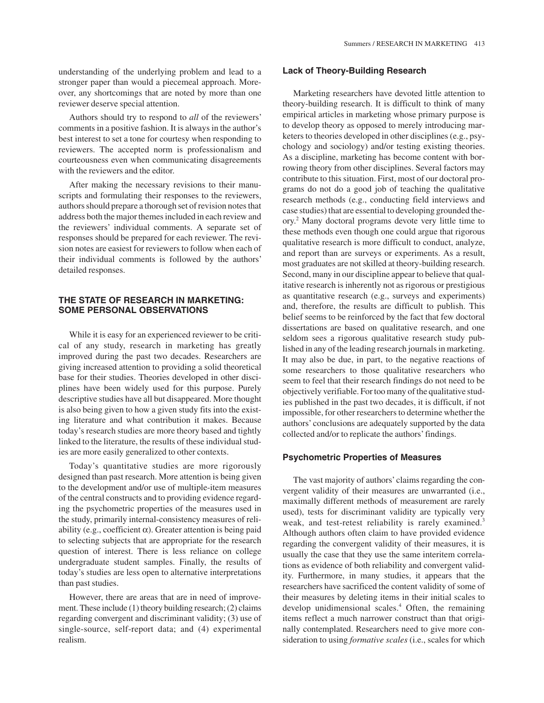understanding of the underlying problem and lead to a stronger paper than would a piecemeal approach. Moreover, any shortcomings that are noted by more than one reviewer deserve special attention.

Authors should try to respond to *all* of the reviewers' comments in a positive fashion. It is always in the author's best interest to set a tone for courtesy when responding to reviewers. The accepted norm is professionalism and courteousness even when communicating disagreements with the reviewers and the editor.

After making the necessary revisions to their manuscripts and formulating their responses to the reviewers, authors should prepare a thorough set of revision notes that address both the major themes included in each review and the reviewers' individual comments. A separate set of responses should be prepared for each reviewer. The revision notes are easiest for reviewers to follow when each of their individual comments is followed by the authors' detailed responses.

## **THE STATE OF RESEARCH IN MARKETING: SOME PERSONAL OBSERVATIONS**

While it is easy for an experienced reviewer to be critical of any study, research in marketing has greatly improved during the past two decades. Researchers are giving increased attention to providing a solid theoretical base for their studies. Theories developed in other disciplines have been widely used for this purpose. Purely descriptive studies have all but disappeared. More thought is also being given to how a given study fits into the existing literature and what contribution it makes. Because today's research studies are more theory based and tightly linked to the literature, the results of these individual studies are more easily generalized to other contexts.

Today's quantitative studies are more rigorously designed than past research. More attention is being given to the development and/or use of multiple-item measures of the central constructs and to providing evidence regarding the psychometric properties of the measures used in the study, primarily internal-consistency measures of reliability (e.g., coefficient  $\alpha$ ). Greater attention is being paid to selecting subjects that are appropriate for the research question of interest. There is less reliance on college undergraduate student samples. Finally, the results of today's studies are less open to alternative interpretations than past studies.

However, there are areas that are in need of improvement. These include (1) theory building research; (2) claims regarding convergent and discriminant validity; (3) use of single-source, self-report data; and (4) experimental realism.

#### **Lack of Theory-Building Research**

Marketing researchers have devoted little attention to theory-building research. It is difficult to think of many empirical articles in marketing whose primary purpose is to develop theory as opposed to merely introducing marketers to theories developed in other disciplines (e.g., psychology and sociology) and/or testing existing theories. As a discipline, marketing has become content with borrowing theory from other disciplines. Several factors may contribute to this situation. First, most of our doctoral programs do not do a good job of teaching the qualitative research methods (e.g., conducting field interviews and case studies) that are essential to developing grounded theory.2 Many doctoral programs devote very little time to these methods even though one could argue that rigorous qualitative research is more difficult to conduct, analyze, and report than are surveys or experiments. As a result, most graduates are not skilled at theory-building research. Second, many in our discipline appear to believe that qualitative research is inherently not as rigorous or prestigious as quantitative research (e.g., surveys and experiments) and, therefore, the results are difficult to publish. This belief seems to be reinforced by the fact that few doctoral dissertations are based on qualitative research, and one seldom sees a rigorous qualitative research study published in any of the leading research journals in marketing. It may also be due, in part, to the negative reactions of some researchers to those qualitative researchers who seem to feel that their research findings do not need to be objectively verifiable. For too many of the qualitative studies published in the past two decades, it is difficult, if not impossible, for other researchers to determine whether the authors' conclusions are adequately supported by the data collected and/or to replicate the authors' findings.

#### **Psychometric Properties of Measures**

The vast majority of authors' claims regarding the convergent validity of their measures are unwarranted (i.e., maximally different methods of measurement are rarely used), tests for discriminant validity are typically very weak, and test-retest reliability is rarely examined.<sup>3</sup> Although authors often claim to have provided evidence regarding the convergent validity of their measures, it is usually the case that they use the same interitem correlations as evidence of both reliability and convergent validity. Furthermore, in many studies, it appears that the researchers have sacrificed the content validity of some of their measures by deleting items in their initial scales to develop unidimensional scales.<sup>4</sup> Often, the remaining items reflect a much narrower construct than that originally contemplated. Researchers need to give more consideration to using *formative scales* (i.e., scales for which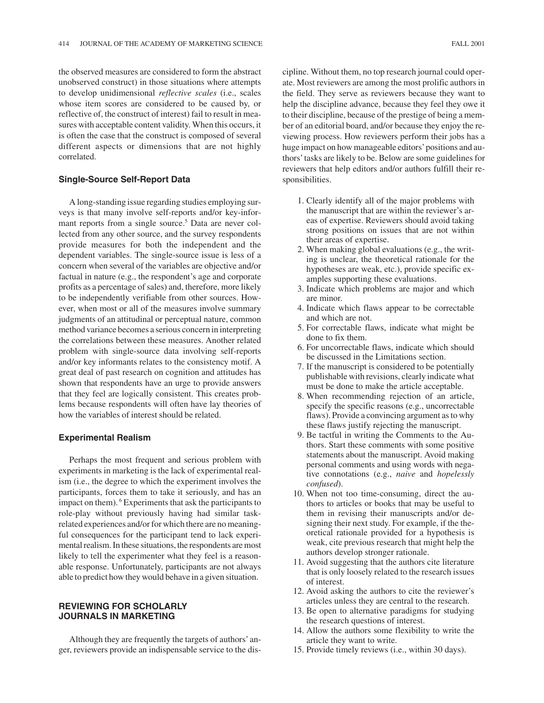the observed measures are considered to form the abstract unobserved construct) in those situations where attempts to develop unidimensional *reflective scales* (i.e., scales whose item scores are considered to be caused by, or reflective of, the construct of interest) fail to result in measures with acceptable content validity. When this occurs, it is often the case that the construct is composed of several different aspects or dimensions that are not highly correlated.

#### **Single-Source Self-Report Data**

A long-standing issue regarding studies employing surveys is that many involve self-reports and/or key-informant reports from a single source.<sup>5</sup> Data are never collected from any other source, and the survey respondents provide measures for both the independent and the dependent variables. The single-source issue is less of a concern when several of the variables are objective and/or factual in nature (e.g., the respondent's age and corporate profits as a percentage of sales) and, therefore, more likely to be independently verifiable from other sources. However, when most or all of the measures involve summary judgments of an attitudinal or perceptual nature, common method variance becomes a serious concern in interpreting the correlations between these measures. Another related problem with single-source data involving self-reports and/or key informants relates to the consistency motif. A great deal of past research on cognition and attitudes has shown that respondents have an urge to provide answers that they feel are logically consistent. This creates problems because respondents will often have lay theories of how the variables of interest should be related.

#### **Experimental Realism**

Perhaps the most frequent and serious problem with experiments in marketing is the lack of experimental realism (i.e., the degree to which the experiment involves the participants, forces them to take it seriously, and has an impact on them). <sup>6</sup> Experiments that ask the participants to role-play without previously having had similar taskrelated experiences and/or for which there are no meaningful consequences for the participant tend to lack experimental realism. In these situations, the respondents are most likely to tell the experimenter what they feel is a reasonable response. Unfortunately, participants are not always able to predict how they would behave in a given situation.

# **REVIEWING FOR SCHOLARLY JOURNALS IN MARKETING**

Although they are frequently the targets of authors' anger, reviewers provide an indispensable service to the discipline. Without them, no top research journal could operate. Most reviewers are among the most prolific authors in the field. They serve as reviewers because they want to help the discipline advance, because they feel they owe it to their discipline, because of the prestige of being a member of an editorial board, and/or because they enjoy the reviewing process. How reviewers perform their jobs has a huge impact on how manageable editors'positions and authors'tasks are likely to be. Below are some guidelines for reviewers that help editors and/or authors fulfill their responsibilities.

- 1. Clearly identify all of the major problems with the manuscript that are within the reviewer's areas of expertise. Reviewers should avoid taking strong positions on issues that are not within their areas of expertise.
- 2. When making global evaluations (e.g., the writing is unclear, the theoretical rationale for the hypotheses are weak, etc.), provide specific examples supporting these evaluations.
- 3. Indicate which problems are major and which are minor.
- 4. Indicate which flaws appear to be correctable and which are not.
- 5. For correctable flaws, indicate what might be done to fix them.
- 6. For uncorrectable flaws, indicate which should be discussed in the Limitations section.
- 7. If the manuscript is considered to be potentially publishable with revisions, clearly indicate what must be done to make the article acceptable.
- 8. When recommending rejection of an article, specify the specific reasons (e.g., uncorrectable flaws). Provide a convincing argument as to why these flaws justify rejecting the manuscript.
- 9. Be tactful in writing the Comments to the Authors. Start these comments with some positive statements about the manuscript. Avoid making personal comments and using words with negative connotations (e.g., *naive* and *hopelessly confused*).
- 10. When not too time-consuming, direct the authors to articles or books that may be useful to them in revising their manuscripts and/or designing their next study. For example, if the theoretical rationale provided for a hypothesis is weak, cite previous research that might help the authors develop stronger rationale.
- 11. Avoid suggesting that the authors cite literature that is only loosely related to the research issues of interest.
- 12. Avoid asking the authors to cite the reviewer's articles unless they are central to the research.
- 13. Be open to alternative paradigms for studying the research questions of interest.
- 14. Allow the authors some flexibility to write the article they want to write.
- 15. Provide timely reviews (i.e., within 30 days).